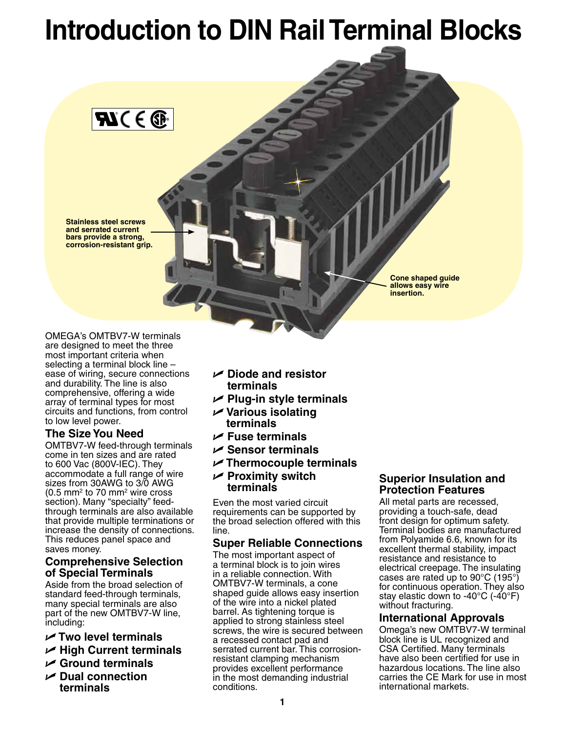## **Introduction to DIN Rail Terminal Blocks**

**Cone shaped guide allows easy wire insertion.**

OMEGA's OMTBV7-W terminals are designed to meet the three most important criteria when selecting a terminal block line – ease of wiring, secure connections and durability. The line is also comprehensive, offering a wide array of terminal types for most circuits and functions, from control to low level power.

**Stainless steel screws and serrated current bars provide a strong, corrosion-resistant grip.**

 $\mathbf{C} \in \mathbb{C}$ 

### **The Size You Need**

OMTBV7-W feed-through terminals come in ten sizes and are rated to 600 Vac (800V-IEC). They accommodate a full range of wire sizes from 30AWG to 3/0 AWG  $(0.5 \text{ mm}^2 \text{ to } 70 \text{ mm}^2 \text{ wire cross})$ section). Many "specialty" feedthrough terminals are also available that provide multiple terminations or increase the density of connections. This reduces panel space and saves money.

#### **Comprehensive Selection of Special Terminals**

Aside from the broad selection of standard feed-through terminals, many special terminals are also part of the new OMTBV7-W line, including:

- U **Two level terminals**
- U **High Current terminals**
- U **Ground terminals**
- U **Dual connection terminals**
- U **Diode and resistor terminals**
- U **Plug-in style terminals**
- U **Various isolating terminals**
- U **Fuse terminals**
- U **Sensor terminals**
- U **Thermocouple terminals**
- U **Proximity switch terminals**

Even the most varied circuit requirements can be supported by the broad selection offered with this line.

#### **Super Reliable Connections**

The most important aspect of a terminal block is to join wires in a reliable connection. With OMTBV7-W terminals, a cone shaped guide allows easy insertion of the wire into a nickel plated barrel. As tightening torque is applied to strong stainless steel screws, the wire is secured between a recessed contact pad and serrated current bar. This corrosionresistant clamping mechanism provides excellent performance in the most demanding industrial conditions.

#### **Superior Insulation and Protection Features**

All metal parts are recessed, providing a touch-safe, dead front design for optimum safety. Terminal bodies are manufactured from Polyamide 6.6, known for its excellent thermal stability, impact resistance and resistance to electrical creepage. The insulating cases are rated up to 90°C (195°) for continuous operation. They also stay elastic down to -40°C (-40°F) without fracturing.

#### **International Approvals**

Omega's new OMTBV7-W terminal block line is UL recognized and CSA Certified. Many terminals have also been certified for use in hazardous locations. The line also carries the CE Mark for use in most international markets.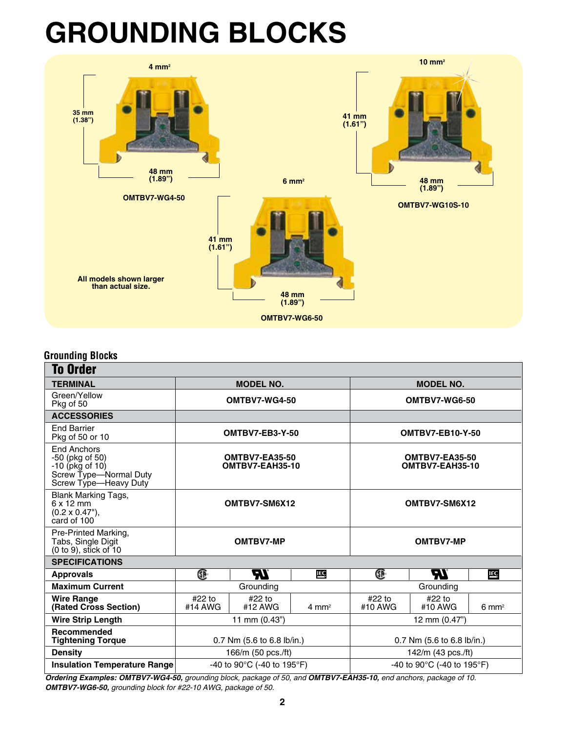# **GROUNDING BLOCKS**



#### **Grounding Blocks**

| <b>To Order</b>                                                                                               |                   |                                                  |                    |                                                  |                   |                  |  |  |  |  |  |  |
|---------------------------------------------------------------------------------------------------------------|-------------------|--------------------------------------------------|--------------------|--------------------------------------------------|-------------------|------------------|--|--|--|--|--|--|
| <b>TERMINAL</b>                                                                                               |                   | <b>MODEL NO.</b>                                 |                    | <b>MODEL NO.</b>                                 |                   |                  |  |  |  |  |  |  |
| Green/Yellow<br>Pkg of 50                                                                                     |                   | OMTBV7-WG4-50                                    |                    | OMTBV7-WG6-50                                    |                   |                  |  |  |  |  |  |  |
| <b>ACCESSORIES</b>                                                                                            |                   |                                                  |                    |                                                  |                   |                  |  |  |  |  |  |  |
| <b>End Barrier</b><br>Pkg of 50 or 10                                                                         |                   | OMTBV7-EB3-Y-50                                  |                    | <b>OMTBV7-EB10-Y-50</b>                          |                   |                  |  |  |  |  |  |  |
| <b>End Anchors</b><br>$-50$ (pkg of 50)<br>-10 (pkg of 10)<br>Screw Type-Normal Duty<br>Screw Type-Heavy Duty |                   | <b>OMTBV7-EA35-50</b><br>OMTBV7-EAH35-10         |                    | <b>OMTBV7-EA35-50</b><br>OMTBV7-EAH35-10         |                   |                  |  |  |  |  |  |  |
| <b>Blank Marking Tags,</b><br>$6 \times 12$ mm<br>$(0.2 \times 0.47^{\circ})$ ,<br>card of 100                |                   | OMTBV7-SM6X12                                    |                    | OMTBV7-SM6X12                                    |                   |                  |  |  |  |  |  |  |
| Pre-Printed Marking,<br>Tabs, Single Digit<br>(0 to 9), stick of 10                                           | OMTBV7-MP         |                                                  |                    | <b>OMTBV7-MP</b>                                 |                   |                  |  |  |  |  |  |  |
| <b>SPECIFICATIONS</b>                                                                                         |                   |                                                  |                    |                                                  |                   |                  |  |  |  |  |  |  |
| <b>Approvals</b>                                                                                              | Œ                 | 77.                                              | EÇ                 | Œ                                                | ЪZ                | EC               |  |  |  |  |  |  |
| <b>Maximum Current</b>                                                                                        | Grounding         |                                                  |                    | Grounding                                        |                   |                  |  |  |  |  |  |  |
| <b>Wire Range</b><br>(Rated Cross Section)                                                                    | #22 to<br>#14 AWG | #22 to<br>#12 AWG                                | $4 \, \text{mm}^2$ | #22 to<br>#10 AWG                                | #22 to<br>#10 AWG | $6 \text{ mm}^2$ |  |  |  |  |  |  |
| <b>Wire Strip Length</b>                                                                                      |                   | 11 mm $(0.43")$                                  |                    | 12 mm (0.47")                                    |                   |                  |  |  |  |  |  |  |
| Recommended<br><b>Tightening Torque</b>                                                                       |                   | 0.7 Nm (5.6 to 6.8 lb/in.)                       |                    | 0.7 Nm (5.6 to 6.8 lb/in.)                       |                   |                  |  |  |  |  |  |  |
| <b>Density</b>                                                                                                |                   | 166/m (50 pcs./ft)                               |                    | 142/m (43 pcs./ft)                               |                   |                  |  |  |  |  |  |  |
| <b>Insulation Temperature Range</b>                                                                           |                   | -40 to 90 $^{\circ}$ C (-40 to 195 $^{\circ}$ F) |                    | -40 to 90 $^{\circ}$ C (-40 to 195 $^{\circ}$ F) |                   |                  |  |  |  |  |  |  |

*Ordering Examples: OMTBV7-WG4-50, grounding block, package of 50, and OMTBV7-EAH35-10, end anchors, package of 10. OMTBV7-WG6-50, grounding block for #22-10 AWG, package of 50.*